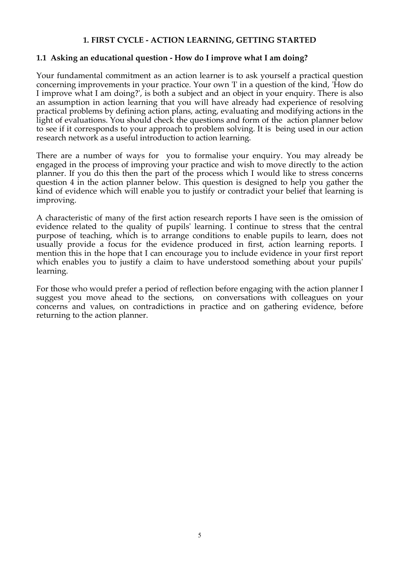## **1. FIRST CYCLE - ACTION LEARNING, GETTING STARTED**

## **1.1 Asking an educational question - How do I improve what I am doing?**

Your fundamental commitment as an action learner is to ask yourself a practical question concerning improvements in your practice. Your own 'I' in a question of the kind, 'How do I improve what I am doing?', is both a subject and an object in your enquiry. There is also an assumption in action learning that you will have already had experience of resolving practical problems by defining action plans, acting, evaluating and modifying actions in the light of evaluations. You should check the questions and form of the action planner below to see if it corresponds to your approach to problem solving. It is being used in our action research network as a useful introduction to action learning.

There are a number of ways for you to formalise your enquiry. You may already be engaged in the process of improving your practice and wish to move directly to the action planner. If you do this then the part of the process which I would like to stress concerns question 4 in the action planner below. This question is designed to help you gather the kind of evidence which will enable you to justify or contradict your belief that learning is improving.

A characteristic of many of the first action research reports I have seen is the omission of evidence related to the quality of pupils' learning. I continue to stress that the central purpose of teaching, which is to arrange conditions to enable pupils to learn, does not usually provide a focus for the evidence produced in first, action learning reports. I mention this in the hope that I can encourage you to include evidence in your first report which enables you to justify a claim to have understood something about your pupils' learning.

For those who would prefer a period of reflection before engaging with the action planner I suggest you move ahead to the sections, on conversations with colleagues on your concerns and values, on contradictions in practice and on gathering evidence, before returning to the action planner.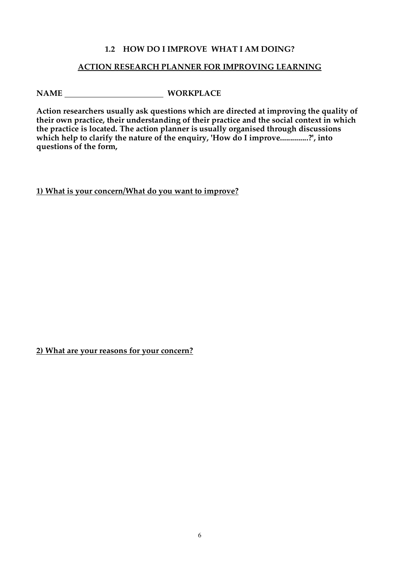## **1.2 HOW DO I IMPROVE WHAT I AM DOING?**

## **ACTION RESEARCH PLANNER FOR IMPROVING LEARNING**

# **NAME WORKPLACE**

**Action researchers usually ask questions which are directed at improving the quality of their own practice, their understanding of their practice and the social context in which the practice is located. The action planner is usually organised through discussions which help to clarify the nature of the enquiry, 'How do I improve..............?', into questions of the form,**

**1) What is your concern/What do you want to improve?**

**2) What are your reasons for your concern?**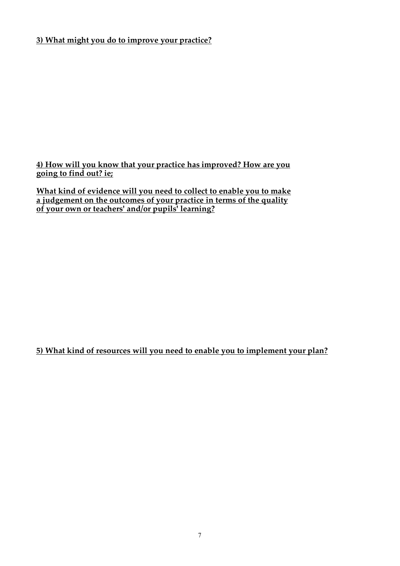# **3) What might you do to improve your practice?**

**4) How will you know that your practice has improved? How are you going to find out? ie;**

**What kind of evidence will you need to collect to enable you to make a judgement on the outcomes of your practice in terms of the quality of your own or teachers' and/or pupils' learning?**

**5) What kind of resources will you need to enable you to implement your plan?**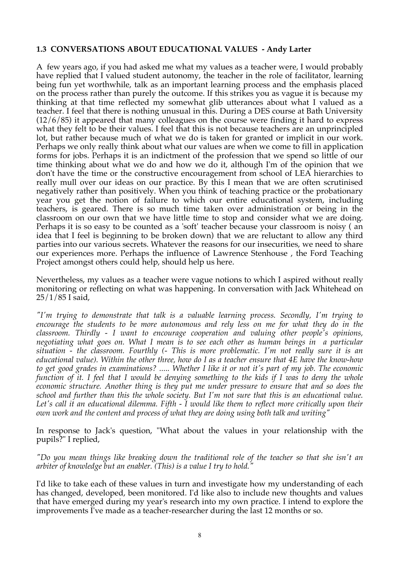## **1.3 CONVERSATIONS ABOUT EDUCATIONAL VALUES - Andy Larter**

A few years ago, if you had asked me what my values as a teacher were, I would probably have replied that I valued student autonomy, the teacher in the role of facilitator, learning being fun yet worthwhile, talk as an important learning process and the emphasis placed on the process rather than purely the outcome. If this strikes you as vague it is because my thinking at that time reflected my somewhat glib utterances about what I valued as a teacher. I feel that there is nothing unusual in this. During a DES course at Bath University (12/6/85) it appeared that many colleagues on the course were finding it hard to express what they felt to be their values. I feel that this is not because teachers are an unprincipled lot, but rather because much of what we do is taken for granted or implicit in our work. Perhaps we only really think about what our values are when we come to fill in application forms for jobs. Perhaps it is an indictment of the profession that we spend so little of our time thinking about what we do and how we do it, although I'm of the opinion that we don't have the time or the constructive encouragement from school of LEA hierarchies to really mull over our ideas on our practice. By this I mean that we are often scrutinised negatively rather than positively. When you think of teaching practice or the probationary year you get the notion of failure to which our entire educational system, including teachers, is geared. There is so much time taken over administration or being in the classroom on our own that we have little time to stop and consider what we are doing. Perhaps it is so easy to be counted as a 'soft' teacher because your classroom is noisy ( an idea that I feel is beginning to be broken down) that we are reluctant to allow any third parties into our various secrets. Whatever the reasons for our insecurities, we need to share our experiences more. Perhaps the influence of Lawrence Stenhouse , the Ford Teaching Project amongst others could help, should help us here.

Nevertheless, my values as a teacher were vague notions to which I aspired without really monitoring or reflecting on what was happening. In conversation with Jack Whitehead on 25/1/85 I said,

*"I'm trying to demonstrate that talk is a valuable learning process. Secondly, I'm trying to encourage the students to be more autonomous and rely less on me for what they do in the classroom. Thirdly - I want to encourage cooperation and valuing other people's opinions, negotiating what goes on. What I mean is to see each other as human beings in a particular situation - the classroom. Fourthly (- This is more problematic. I'm not really sure it is an educational value). Within the other three, how do I as a teacher ensure that 4E have the know-how to get good grades in examinations? ..... Whether I like it or not it's part of my job. The economic function of it. I feel that I would be denying something to the kids if I was to deny the whole economic structure. Another thing is they put me under pressure to ensure that and so does the school and further than this the whole society. But I'm not sure that this is an educational value. Let's call it an educational dilemma. Fifth - I would like them to reflect more critically upon their own work and the content and process of what they are doing using both talk and writing"*

In response to Jack's question, "What about the values in your relationship with the pupils?" I replied,

*"Do you mean things like breaking down the traditional role of the teacher so that she isn't an arbiter of knowledge but an enabler. (This) is a value I try to hold."*

I'd like to take each of these values in turn and investigate how my understanding of each has changed, developed, been monitored. I'd like also to include new thoughts and values that have emerged during my year's research into my own practice. I intend to explore the improvements I've made as a teacher-researcher during the last 12 months or so.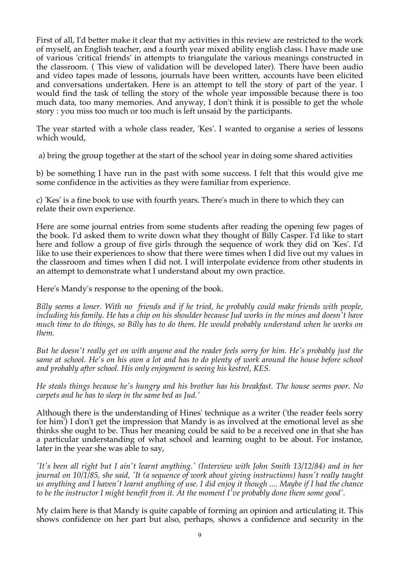First of all, I'd better make it clear that my activities in this review are restricted to the work of myself, an English teacher, and a fourth year mixed ability english class. I have made use of various 'critical friends' in attempts to triangulate the various meanings constructed in the classroom. ( This view of validation will be developed later). There have been audio and video tapes made of lessons, journals have been written, accounts have been elicited and conversations undertaken. Here is an attempt to tell the story of part of the year. I would find the task of telling the story of the whole year impossible because there is too much data, too many memories. And anyway, I don't think it is possible to get the whole story : you miss too much or too much is left unsaid by the participants.

The year started with a whole class reader, 'Kes'. I wanted to organise a series of lessons which would,

a) bring the group together at the start of the school year in doing some shared activities

b) be something I have run in the past with some success. I felt that this would give me some confidence in the activities as they were familiar from experience.

c) 'Kes' is a fine book to use with fourth years. There's much in there to which they can relate their own experience.

Here are some journal entries from some students after reading the opening few pages of the book. I'd asked them to write down what they thought of Billy Casper. I'd like to start here and follow a group of five girls through the sequence of work they did on 'Kes'. I'd like to use their experiences to show that there were times when I did live out my values in the classroom and times when I did not. I will interpolate evidence from other students in an attempt to demonstrate what I understand about my own practice.

Here's Mandy's response to the opening of the book.

*Billy seems a loner. With no friends and if he tried, he probably could make friends with people, including his family. He has a chip on his shoulder because Jud works in the mines and doesn't have much time to do things, so Billy has to do them. He would probably understand when he works on them.*

*But he doesn't really get on with anyone and the reader feels sorry for him. He's probably just the same at school. He's on his own a lot and has to do plenty of work around the house before school and probably after school. His only enjoyment is seeing his kestrel, KES.*

*He steals things because he's hungry and his brother has his breakfast. The house seems poor. No carpets and he has to sleep in the same bed as Jud.'*

Although there is the understanding of Hines' technique as a writer ('the reader feels sorry for him') I don't get the impression that Mandy is as involved at the emotional level as she thinks she ought to be. Thus her meaning could be said to be a received one in that she has a particular understanding of what school and learning ought to be about. For instance, later in the year she was able to say,

*'It's been all right but I ain't learnt anything.' (Interview with John Smith 13/12/84) and in her journal on 10/1/85, she said, 'It (a sequence of work about giving instructions) hasn't really taught us anything and I haven't learnt anything of use. I did enjoy it though .... Maybe if I had the chance to be the instructor I might benefit from it. At the moment I've probably done them some good'.*

My claim here is that Mandy is quite capable of forming an opinion and articulating it. This shows confidence on her part but also, perhaps, shows a confidence and security in the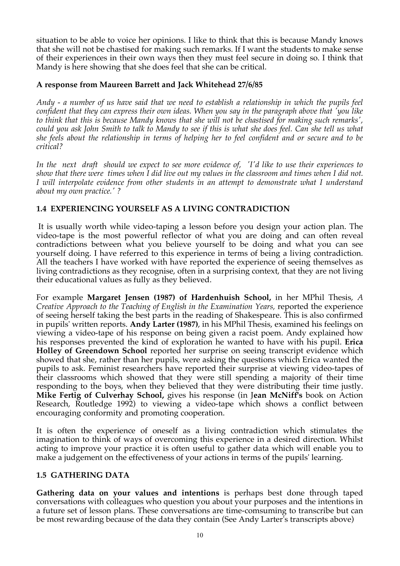situation to be able to voice her opinions. I like to think that this is because Mandy knows that she will not be chastised for making such remarks. If I want the students to make sense of their experiences in their own ways then they must feel secure in doing so. I think that Mandy is here showing that she does feel that she can be critical.

# **A response from Maureen Barrett and Jack Whitehead 27/6/85**

*Andy - a number of us have said that we need to establish a relationship in which the pupils feel confident that they can express their own ideas. When you say in the paragraph above that 'you like to think that this is because Mandy knows that she will not be chastised for making such remarks',* could you ask John Smith to talk to Mandy to see if this is what she does feel. Can she tell us what *she feels about the relationship in terms of helping her to feel confident and or secure and to be critical?*

*In the next draft should we expect to see more evidence of, 'I'd like to use their experiences to* show that there were times when I did live out my values in the classroom and times when I did not. *I will interpolate evidence from other students in an attempt to demonstrate what I understand about my own practice.' ?*

# **1.4 EXPERIENCING YOURSELF AS A LIVING CONTRADICTION**

It is usually worth while video-taping a lesson before you design your action plan. The video-tape is the most powerful reflector of what you are doing and can often reveal contradictions between what you believe yourself to be doing and what you can see yourself doing. I have referred to this experience in terms of being a living contradiction. All the teachers I have worked with have reported the experience of seeing themselves as living contradictions as they recognise, often in a surprising context, that they are not living their educational values as fully as they believed.

For example **Margaret Jensen (1987) of Hardenhuish School,** in her MPhil Thesis, *A Creative Approach to the Teaching of English in the Examination Years,* reported the experience of seeing herself taking the best parts in the reading of Shakespeare. This is also confirmed in pupils' written reports. **Andy Larter (1987)**, in his MPhil Thesis, examined his feelings on viewing a video-tape of his response on being given a racist poem. Andy explained how his responses prevented the kind of exploration he wanted to have with his pupil. **Erica Holley of Greendown School** reported her surprise on seeing transcript evidence which showed that she, rather than her pupils, were asking the questions which Erica wanted the pupils to ask. Feminist researchers have reported their surprise at viewing video-tapes of their classrooms which showed that they were still spending a majority of their time responding to the boys, when they believed that they were distributing their time justly. **Mike Fertig of Culverhay School,** gives his response (in J**ean McNiff's** book on Action Research, Routledge 1992) to viewing a video-tape which shows a conflict between encouraging conformity and promoting cooperation.

It is often the experience of oneself as a living contradiction which stimulates the imagination to think of ways of overcoming this experience in a desired direction. Whilst acting to improve your practice it is often useful to gather data which will enable you to make a judgement on the effectiveness of your actions in terms of the pupils' learning.

## **1.5 GATHERING DATA**

**Gathering data on your values and intentions** is perhaps best done through taped conversations with colleagues who question you about your purposes and the intentions in a future set of lesson plans. These conversations are time-comsuming to transcribe but can be most rewarding because of the data they contain (See Andy Larter's transcripts above)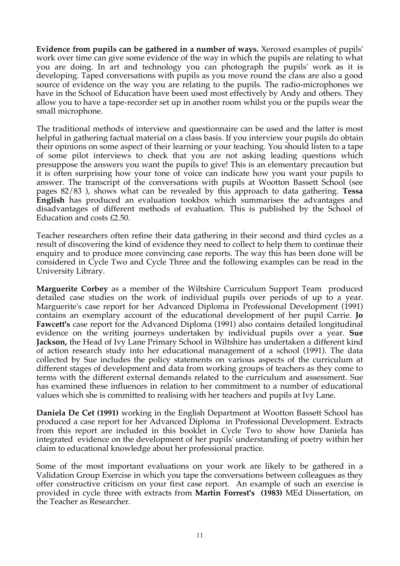**Evidence from pupils can be gathered in a number of ways.** Xeroxed examples of pupils' work over time can give some evidence of the way in which the pupils are relating to what you are doing. In art and technology you can photograph the pupils' work as it is developing. Taped conversations with pupils as you move round the class are also a good source of evidence on the way you are relating to the pupils. The radio-microphones we have in the School of Education have been used most effectively by Andy and others. They allow you to have a tape-recorder set up in another room whilst you or the pupils wear the small microphone.

The traditional methods of interview and questionnaire can be used and the latter is most helpful in gathering factual material on a class basis. If you interview your pupils do obtain their opinions on some aspect of their learning or your teaching. You should listen to a tape of some pilot interviews to check that you are not asking leading questions which presuppose the answers you want the pupils to give! This is an elementary precaution but it is often surprising how your tone of voice can indicate how you want your pupils to answer. The transcript of the conversations with pupils at Wootton Bassett School (see pages 82/83 ), shows what can be revealed by this approach to data gathering. **Tessa English** has produced an evaluation tookbox which summarises the advantages and disadvantages of different methods of evaluation. This is published by the School of Education and costs £2.50.

Teacher researchers often refine their data gathering in their second and third cycles as a result of discovering the kind of evidence they need to collect to help them to continue their enquiry and to produce more convincing case reports. The way this has been done will be considered in Cycle Two and Cycle Three and the following examples can be read in the University Library.

**Marguerite Corbey** as a member of the Wiltshire Curriculum Support Team produced detailed case studies on the work of individual pupils over periods of up to a year. Marguerite's case report for her Advanced Diploma in Professional Development (1991) contains an exemplary account of the educational development of her pupil Carrie. **Jo Fawcett's** case report for the Advanced Diploma (1991) also contains detailed longitudinal evidence on the writing journeys undertaken by individual pupils over a year. **Sue Jackson,** the Head of Ivy Lane Primary School in Wiltshire has undertaken a different kind of action research study into her educational management of a school (1991). The data collected by Sue includes the policy statements on various aspects of the curriculum at different stages of development and data from working groups of teachers as they come to terms with the different external demands related to the curriculum and assessment. Sue has examined these influences in relation to her commitment to a number of educational values which she is committed to realising with her teachers and pupils at Ivy Lane.

**Daniela De Cet (1991)** working in the English Department at Wootton Bassett School has produced a case report for her Advanced Diploma in Professional Development. Extracts from this report are included in this booklet in Cycle Two to show how Daniela has integrated evidence on the development of her pupils' understanding of poetry within her claim to educational knowledge about her professional practice.

Some of the most important evaluations on your work are likely to be gathered in a Validation Group Exercise in which you tape the conversations between colleagues as they offer constructive criticism on your first case report. An example of such an exercise is provided in cycle three with extracts from **Martin Forrest's (1983)** MEd Dissertation, on the Teacher as Researcher.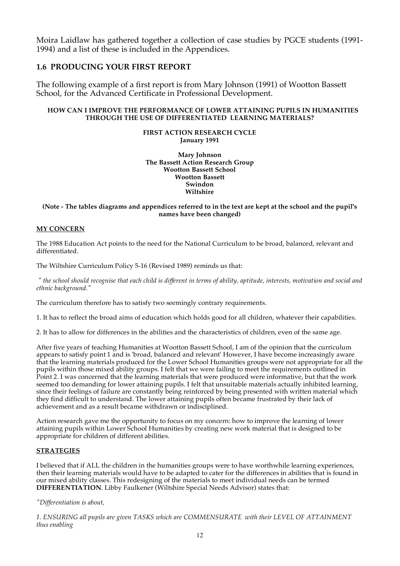Moira Laidlaw has gathered together a collection of case studies by PGCE students (1991- 1994) and a list of these is included in the Appendices.

## **1.6 PRODUCING YOUR FIRST REPORT**

The following example of a first report is from Mary Johnson (1991) of Wootton Bassett School, for the Advanced Certificate in Professional Development.

## **HOW CAN I IMPROVE THE PERFORMANCE OF LOWER ATTAINING PUPILS IN HUMANITIES THROUGH THE USE OF DIFFERENTIATED LEARNING MATERIALS?**

## **FIRST ACTION RESEARCH CYCLE January 1991**

**Mary Johnson The Bassett Action Research Group Wootton Bassett School Wootton Bassett Swindon Wiltshire**

#### (Note - The tables diagrams and appendices referred to in the text are kept at the school and the pupil's **names have been changed)**

## **MY CONCERN**

The 1988 Education Act points to the need for the National Curriculum to be broad, balanced, relevant and differentiated.

The Wiltshire Curriculum Policy 5-16 (Revised 1989) reminds us that:

" the school should recognise that each child is different in terms of ability, aptitude, interests, motivation and social and *ethnic background."*

The curriculum therefore has to satisfy two seemingly contrary requirements.

1. It has to reflect the broad aims of education which holds good for all children, whatever their capabilities.

2. It has to allow for differences in the abilities and the characteristics of children, even of the same age.

After five years of teaching Humanities at Wootton Bassett School, I am of the opinion that the curriculum appears to satisfy point 1 and is 'broad, balanced and relevant' However, I have become increasingly aware that the learning materials produced for the Lower School Humanities groups were not appropriate for all the pupils within those mixed ability groups. I felt that we were failing to meet the requirements outlined in Point 2. I was concerned that the learning materials that were produced were informative, but that the work seemed too demanding for lower attaining pupils. I felt that unsuitable materials actually inhibited learning, since their feelings of failure are constantly being reinforced by being presented with written material which they find difficult to understand. The lower attaining pupils often became frustrated by their lack of achievement and as a result became withdrawn or indisciplined.

Action research gave me the opportunity to focus on my concern: how to improve the learning of lower attaining pupils within Lower School Humanities by creating new work material that is designed to be appropriate for children of different abilities.

## **STRATEGIES**

I believed that if ALL the children in the humanities groups were to have worthwhile learning experiences, then their learning materials would have to be adapted to cater for the differences in abilities that is found in our mixed ability classes. This redesigning of the materials to meet individual needs can be termed **DIFFERENTIATION**. Libby Faulkener (Wiltshire Special Needs Advisor) states that:

*"Differentiation is about,*

*1. ENSURING all pupils are given TASKS which are COMMENSURATE with their LEVEL OF ATTAINMENT thus enabling*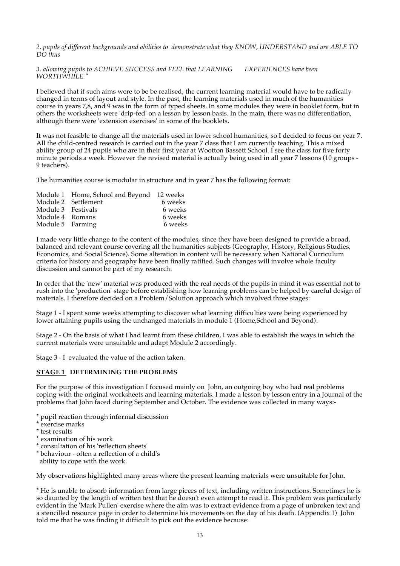2. pupils of different backgrounds and abilities to demonstrate what they KNOW, UNDERSTAND and are ABLE TO *DO thus*

*3. allowing pupils to ACHIEVE SUCCESS and FEEL that LEARNING EXPERIENCES have been WORTHWHILE."*

I believed that if such aims were to be be realised, the current learning material would have to be radically changed in terms of layout and style. In the past, the learning materials used in much of the humanities course in years 7,8, and 9 was in the form of typed sheets. In some modules they were in booklet form, but in others the worksheets were 'drip-fed' on a lesson by lesson basis. In the main, there was no differentiation, although there were 'extension exercises' in some of the booklets.

It was not feasible to change all the materials used in lower school humanities, so I decided to focus on year 7. All the child-centred research is carried out in the year 7 class that I am currently teaching. This a mixed ability group of 24 pupils who are in their first year at Wootton Bassett School. I see the class for five forty minute periods a week. However the revised material is actually being used in all year 7 lessons (10 groups - 9 teachers).

The humanities course is modular in structure and in year 7 has the following format:

|                    | Module 1 Home, School and Beyond 12 weeks |         |
|--------------------|-------------------------------------------|---------|
|                    | Module 2 Settlement                       | 6 weeks |
| Module 3 Festivals |                                           | 6 weeks |
| Module 4 Romans    |                                           | 6 weeks |
| Module 5 Farming   |                                           | 6 weeks |

I made very little change to the content of the modules, since they have been designed to provide a broad, balanced and relevant course covering all the humanities subjects (Geography, History, Religious Studies, Economics, and Social Science). Some alteration in content will be necessary when National Curriculum criteria for history and geography have been finally ratified. Such changes will involve whole faculty discussion and cannot be part of my research.

In order that the 'new' material was produced with the real needs of the pupils in mind it was essential not to rush into the 'production' stage before establishing how learning problems can be helped by careful design of materials. I therefore decided on a Problem/Solution approach which involved three stages:

Stage 1 - I spent some weeks attempting to discover what learning difficulties were being experienced by lower attaining pupils using the unchanged materials in module 1 (Home, School and Beyond).

Stage 2 - On the basis of what I had learnt from these children, I was able to establish the ways in which the current materials were unsuitable and adapt Module 2 accordingly.

Stage 3 - I evaluated the value of the action taken.

#### **STAGE 1 DETERMINING THE PROBLEMS**

For the purpose of this investigation I focused mainly on John, an outgoing boy who had real problems coping with the original worksheets and learning materials. I made a lesson by lesson entry in a Journal of the problems that John faced during September and October. The evidence was collected in many ways:-

- \* pupil reaction through informal discussion
- \* exercise marks
- \* test results
- \* examination of his work
- \* consultation of his 'reflection sheets'
- \* behaviour often a reflection of a child's

ability to cope with the work.

My observations highlighted many areas where the present learning materials were unsuitable for John.

\* He is unable to absorb information from large pieces of text, including written instructions. Sometimes he is so daunted by the length of written text that he doesn't even attempt to read it. This problem was particularly evident in the 'Mark Pullen' exercise where the aim was to extract evidence from a page of unbroken text and a stencilled resource page in order to determine his movements on the day of his death. (Appendix 1) John told me that he was finding it difficult to pick out the evidence because: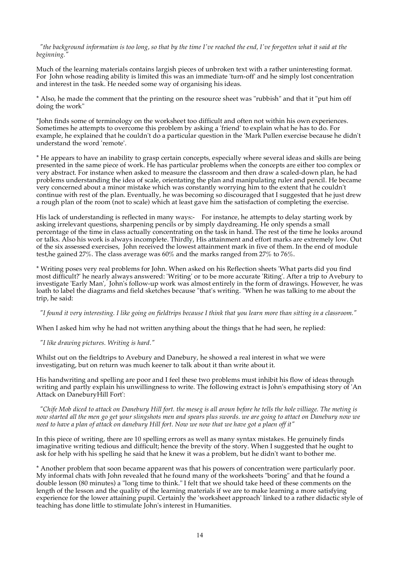"the background information is too long, so that by the time I've reached the end, I've forgotten what it said at the *beginning."*

Much of the learning materials contains largish pieces of unbroken text with a rather uninteresting format. For John whose reading ability is limited this was an immediate 'turn-off' and he simply lost concentration and interest in the task. He needed some way of organising his ideas.

\* Also, he made the comment that the printing on the resource sheet was "rubbish" and that it "put him off doing the work"

\*John finds some of terminology on the worksheet too difficult and often not within his own experiences. Sometimes he attempts to overcome this problem by asking a 'friend' to explain what he has to do. For example, he explained that he couldn't do a particular question in the 'Mark Pullen exercise because he didn't understand the word 'remote'.

\* He appears to have an inability to grasp certain concepts, especially where several ideas and skills are being presented in the same piece of work. He has particular problems when the concepts are either too complex or very abstract. For instance when asked to measure the classroom and then draw a scaled-down plan, he had problems understanding the idea of scale, orientating the plan and manipulating ruler and pencil. He became very concerned about a minor mistake which was constantly worrying him to the extent that he couldn't continue with rest of the plan. Eventually, he was becoming so discouraged that I suggested that he just drew a rough plan of the room (not to scale) which at least gave him the satisfaction of completing the exercise.

His lack of understanding is reflected in many ways:- For instance, he attempts to delay starting work by asking irrelevant questions, sharpening pencils or by simply daydreaming. He only spends a small percentage of the time in class actually concentrating on the task in hand. The rest of the time he looks around or talks. Also his work is always incomplete. Thirdly, His attainment and effort marks are extremely low. Out of the six assessed exercises, John received the lowest attainment mark in five of them. In the end of module test,he gained 27%. The class average was 60% and the marks ranged from 27% to 76%.

\* Writing poses very real problems for John. When asked on his Reflection sheets 'What parts did you find most difficult?' he nearly always answered: 'Writing' or to be more accurate 'Riting'. After a trip to Avebury to investigate 'Early Man', John's follow-up work was almost entirely in the form of drawings. However, he was loath to label the diagrams and field sketches because "that's writing. "When he was talking to me about the trip, he said:

"I found it very interesting. I like going on fieldtrips because I think that you learn more than sitting in a classroom."

When I asked him why he had not written anything about the things that he had seen, he replied:

#### *"I like drawing pictures. Writing is hard."*

Whilst out on the fieldtrips to Avebury and Danebury, he showed a real interest in what we were investigating, but on return was much keener to talk about it than write about it.

His handwriting and spelling are poor and I feel these two problems must inhibit his flow of ideas through writing and partly explain his unwillingness to write. The following extract is John's empathising story of 'An Attack on DaneburyHill Fort':

"Chife Mob diced to attack on Danebury Hill fort, the meseg is all aroun before he tells the hole villiage. The meting is now started all the men go get your slingshots men and spears plus swords, we are going to attact on Danebury now we need to have a plan of attack on danebury Hill fort. Now we now that we have got a plaen off it"

In this piece of writing, there are 10 spelling errors as well as many syntax mistakes. He genuinely finds imaginative writing tedious and difficult; hence the brevity of the story. When I suggested that he ought to ask for help with his spelling he said that he knew it was a problem, but he didn't want to bother me.

\* Another problem that soon became apparent was that his powers of concentration were particularly poor. My informal chats with John revealed that he found many of the worksheets "boring" and that he found a double lesson (80 minutes) a "long time to think." I felt that we should take heed of these comments on the length of the lesson and the quality of the learning materials if we are to make learning a more satisfying experience for the lower attaining pupil. Certainly the 'worksheet approach' linked to a rather didactic style of teaching has done little to stimulate John's interest in Humanities.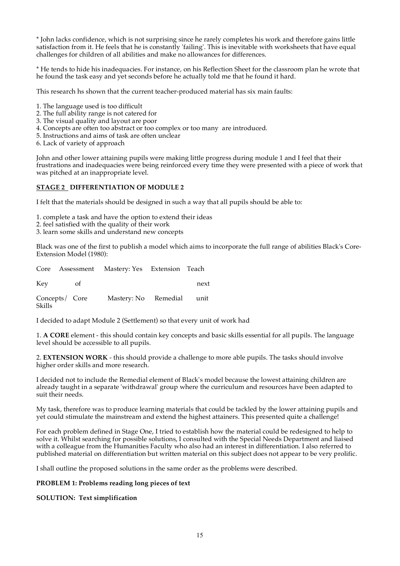\* John lacks confidence, which is not surprising since he rarely completes his work and therefore gains little satisfaction from it. He feels that he is constantly 'failing'. This is inevitable with worksheets that have equal challenges for children of all abilities and make no allowances for differences.

\* He tends to hide his inadequacies. For instance, on his Reflection Sheet for the classroom plan he wrote that he found the task easy and yet seconds before he actually told me that he found it hard.

This research hs shown that the current teacher-produced material has six main faults:

- 1. The language used is too difficult
- 2. The full ability range is not catered for
- 3. The visual quality and layout are poor
- 4. Concepts are often too abstract or too complex or too many are introduced.
- 5. Instructions and aims of task are often unclear
- 6. Lack of variety of approach

John and other lower attaining pupils were making little progress during module 1 and I feel that their frustrations and inadequacies were being reinforced every time they were presented with a piece of work that was pitched at an inappropriate level.

## **STAGE 2 DIFFERENTIATION OF MODULE 2**

I felt that the materials should be designed in such a way that all pupils should be able to:

1. complete a task and have the option to extend their ideas

- 2. feel satisfied with the quality of their work
- 3. learn some skills and understand new concepts

Black was one of the first to publish a model which aims to incorporate the full range of abilities Black's Core-Extension Model (1980):

Core Assessment Mastery: Yes Extension Teach Key of next

Concepts/ Core Mastery: No Remedial unit Skills

I decided to adapt Module 2 (Settlement) so that every unit of work had

1. **A CORE** element - this should contain key concepts and basic skills essential for all pupils. The language level should be accessible to all pupils.

2. **EXTENSION WORK** - this should provide a challenge to more able pupils. The tasks should involve higher order skills and more research.

I decided not to include the Remedial element of Black's model because the lowest attaining children are already taught in a separate 'withdrawal' group where the curriculum and resources have been adapted to suit their needs.

My task, therefore was to produce learning materials that could be tackled by the lower attaining pupils and yet could stimulate the mainstream and extend the highest attainers. This presented quite a challenge!

For each problem defined in Stage One, I tried to establish how the material could be redesigned to help to solve it. Whilst searching for possible solutions, I consulted with the Special Needs Department and liaised with a colleague from the Humanities Faculty who also had an interest in differentiation. I also referred to published material on differentiation but written material on this subject does not appear to be very prolific.

I shall outline the proposed solutions in the same order as the problems were described.

#### **PROBLEM 1: Problems reading long pieces of text**

#### **SOLUTION: Text simplification**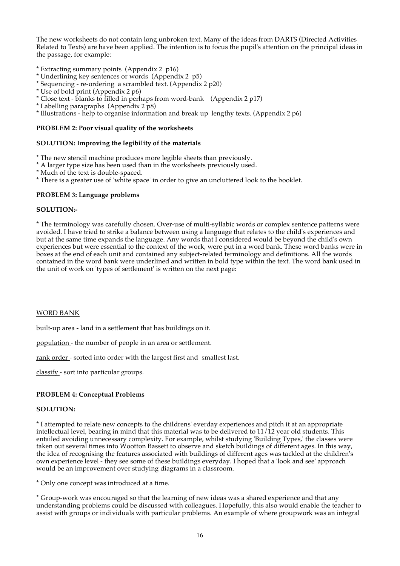The new worksheets do not contain long unbroken text. Many of the ideas from DARTS (Directed Activities Related to Texts) are have been applied. The intention is to focus the pupil's attention on the principal ideas in the passage, for example:

\* Extracting summary points (Appendix 2 p16)

- \* Underlining key sentences or words (Appendix 2 p5)
- \* Sequencing re-ordering a scrambled text. (Appendix 2 p20)
- \* Use of bold print (Appendix 2 p6)
- \* Close text blanks to filled in perhaps from word-bank (Appendix 2 p17)
- \* Labelling paragraphs (Appendix 2 p8)

\* Illustrations - help to organise information and break up lengthy texts. (Appendix 2 p6)

## **PROBLEM 2: Poor visual quality of the worksheets**

#### **SOLUTION: Improving the legibility of the materials**

\* The new stencil machine produces more legible sheets than previously.

\* A larger type size has been used than in the worksheets previously used.

\* Much of the text is double-spaced.

\* There is a greater use of 'white space' in order to give an uncluttered look to the booklet.

## **PROBLEM 3: Language problems**

#### **SOLUTION:-**

\* The terminology was carefully chosen. Over-use of multi-syllabic words or complex sentence patterns were avoided. I have tried to strike a balance between using a language that relates to the child's experiences and but at the same time expands the language. Any words that I considered would be beyond the child's own experiences but were essential to the context of the work, were put in a word bank. These word banks were in boxes at the end of each unit and contained any subject-related terminology and definitions. All the words contained in the word bank were underlined and written in bold type within the text. The word bank used in the unit of work on 'types of settlement' is written on the next page:

#### WORD BANK

built-up area - land in a settlement that has buildings on it.

population - the number of people in an area or settlement.

rank order - sorted into order with the largest first and smallest last.

classify - sort into particular groups.

#### **PROBLEM 4: Conceptual Problems**

#### **SOLUTION:**

\* I attempted to relate new concepts to the childrens' everday experiences and pitch it at an appropriate intellectual level, bearing in mind that this material was to be delivered to  $11/\overline{12}$  year old students. This entailed avoiding unnecessary complexity. For example, whilst studying 'Building Types,' the classes were taken out several times into Wootton Bassett to observe and sketch buildings of different ages. In this way, the idea of recognising the features associated with buildings of different ages was tackled at the children's own experience level - they see some of these buildings everyday. I hoped that a 'look and see' approach would be an improvement over studying diagrams in a classroom.

\* Only one concept was introduced at a time.

\* Group-work was encouraged so that the learning of new ideas was a shared experience and that any understanding problems could be discussed with colleagues. Hopefully, this also would enable the teacher to assist with groups or individuals with particular problems. An example of where groupwork was an integral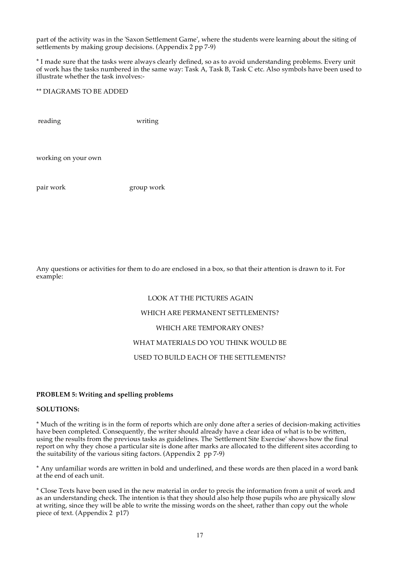part of the activity was in the 'Saxon Settlement Game', where the students were learning about the siting of settlements by making group decisions. (Appendix 2 pp 7-9)

\* I made sure that the tasks were always clearly defined, so as to avoid understanding problems. Every unit of work has the tasks numbered in the same way: Task A, Task B, Task C etc. Also symbols have been used to illustrate whether the task involves:-

\*\* DIAGRAMS TO BE ADDED

reading writing

working on your own

pair work group work

Any questions or activities for them to do are enclosed in a box, so that their attention is drawn to it. For example:

#### LOOK AT THE PICTURES AGAIN

#### WHICH ARE PERMANENT SETTLEMENTS?

#### WHICH ARE TEMPORARY ONES?

## WHAT MATERIALS DO YOU THINK WOULD BE

## USED TO BUILD EACH OF THE SETTLEMENTS?

#### **PROBLEM 5: Writing and spelling problems**

#### **SOLUTIONS:**

\* Much of the writing is in the form of reports which are only done after a series of decision-making activities have been completed. Consequently, the writer should already have a clear idea of what is to be written, using the results from the previous tasks as guidelines. The 'Settlement Site Exercise' shows how the final report on why they chose a particular site is done after marks are allocated to the different sites according to the suitability of the various siting factors. (Appendix 2 pp 7-9)

\* Any unfamiliar words are written in bold and underlined, and these words are then placed in a word bank at the end of each unit.

\* Close Texts have been used in the new material in order to precis the information from a unit of work and as an understanding check. The intention is that they should also help those pupils who are physically slow at writing, since they will be able to write the missing words on the sheet, rather than copy out the whole piece of text. (Appendix 2 p17)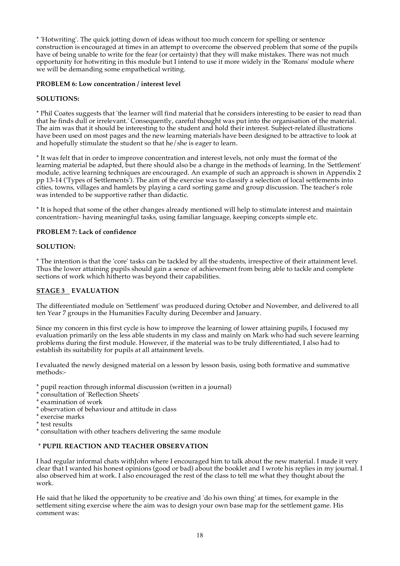\* 'Hotwriting'. The quick jotting down of ideas without too much concern for spelling or sentence construction is encouraged at times in an attempt to overcome the observed problem that some of the pupils have of being unable to write for the fear (or certainty) that they will make mistakes. There was not much opportunity for hotwriting in this module but I intend to use it more widely in the 'Romans' module where we will be demanding some empathetical writing.

## **PROBLEM 6: Low concentration / interest level**

## **SOLUTIONS:**

\* Phil Coates suggests that 'the learner will find material that he considers interesting to be easier to read than that he finds dull or irrelevant.' Consequently, careful thought was put into the organisation of the material. The aim was that it should be interesting to the student and hold their interest. Subject-related illustrations have been used on most pages and the new learning materials have been designed to be attractive to look at and hopefully stimulate the student so that he/she is eager to learn.

\* It was felt that in order to improve concentration and interest levels, not only must the format of the learning material be adapted, but there should also be a change in the methods of learning. In the 'Settlement' module, active learning techniques are encouraged. An example of such an approach is shown in Appendix 2 pp 13-14 ('Types of Settlements'). The aim of the exercise was to classify a selection of local settlements into cities, towns, villages and hamlets by playing a card sorting game and group discussion. The teacher's role was intended to be supportive rather than didactic.

\* It is hoped that some of the other changes already mentioned will help to stimulate interest and maintain concentration:- having meaningful tasks, using familiar language, keeping concepts simple etc.

## **PROBLEM 7: Lack of confidence**

#### **SOLUTION:**

\* The intention is that the 'core' tasks can be tackled by all the students, irrespective of their attainment level. Thus the lower attaining pupils should gain a sence of achievement from being able to tackle and complete sections of work which hitherto was beyond their capabilities.

## **STAGE 3 EVALUATION**

The differentiated module on 'Settlement' was produced during October and November, and delivered to all ten Year 7 groups in the Humanities Faculty during December and January.

Since my concern in this first cycle is how to improve the learning of lower attaining pupils, I focused my evaluation primarily on the less able students in my class and mainly on Mark who had such severe learning problems during the first module. However, if the material was to be truly differentiated, I also had to establish its suitability for pupils at all attainment levels.

I evaluated the newly designed material on a lesson by lesson basis, using both formative and summative methods:-

\* pupil reaction through informal discussion (written in a journal)

- \* consultation of 'Reflection Sheets'
- \* examination of work
- \* observation of behaviour and attitude in class
- \* exercise marks
- \* test results
- \* consultation with other teachers delivering the same module

## **\* PUPIL REACTION AND TEACHER OBSERVATION**

I had regular informal chats withJohn where I encouraged him to talk about the new material. I made it very clear that I wanted his honest opinions (good or bad) about the booklet and I wrote his replies in my journal. I also observed him at work. I also encouraged the rest of the class to tell me what they thought about the work.

He said that he liked the opportunity to be creative and 'do his own thing' at times, for example in the settlement siting exercise where the aim was to design your own base map for the settlement game. His comment was: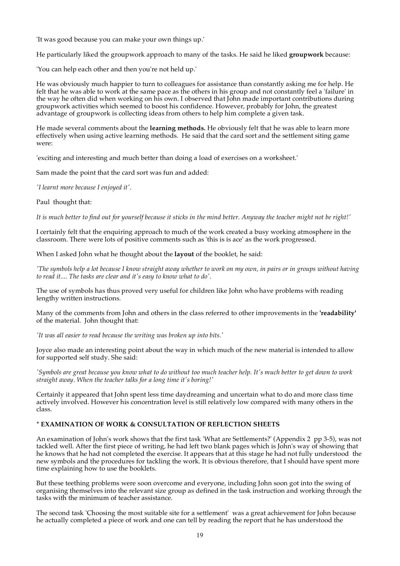'It was good because you can make your own things up.'

He particularly liked the groupwork approach to many of the tasks. He said he liked **groupwork** because:

'You can help each other and then you're not held up.'

He was obviously much happier to turn to colleagues for assistance than constantly asking me for help. He felt that he was able to work at the same pace as the others in his group and not constantly feel a 'failure' in the way he often did when working on his own. I observed that John made important contributions during groupwork activities which seemed to boost his confidence. However, probably for John, the greatest advantage of groupwork is collecting ideas from others to help him complete a given task.

He made several comments about the **learning methods.** He obviously felt that he was able to learn more effectively when using active learning methods. He said that the card sort and the settlement siting game were:

'exciting and interesting and much better than doing a load of exercises on a worksheet.'

Sam made the point that the card sort was fun and added:

*'I learnt more because I enjoyed it'.*

Paul thought that:

It is much better to find out for yourself because it sticks in the mind better. Anyway the teacher might not be right!'

I certainly felt that the enquiring approach to much of the work created a busy working atmosphere in the classroom. There were lots of positive comments such as 'this is is ace' as the work progressed.

When I asked John what he thought about the **layout** of the booklet, he said:

The symbols help a lot because I know straight away whether to work on my own, in pairs or in groups without having *to read it.... The tasks are clear and it's easy to know what to do'.*

The use of symbols has thus proved very useful for children like John who have problems with reading lengthy written instructions.

Many of the comments from John and others in the class referred to other improvements in the **'readability'** of the material. John thought that:

*'It was all easier to read because the writing was broken up into bits.'*

Joyce also made an interesting point about the way in which much of the new material is intended to allow for supported self study. She said:

'Symbols are great because you know what to do without too much teacher help. It's much better to get down to work *straight away. When the teacher talks for a long time it's boring!'*

Certainly it appeared that John spent less time daydreaming and uncertain what to do and more class time actively involved. However his concentration level is still relatively low compared with many others in the class.

## **\* EXAMINATION OF WORK & CONSULTATION OF REFLECTION SHEETS**

An examination of John's work shows that the first task 'What are Settlements?' (Appendix 2 pp 3-5), was not tackled well. After the first piece of writing, he had left two blank pages which is John's way of showing that he knows that he had not completed the exercise. It appears that at this stage he had not fully understood the new symbols and the procedures for tackling the work. It is obvious therefore, that I should have spent more time explaining how to use the booklets.

But these teething problems were soon overcome and everyone, including John soon got into the swing of organising themselves into the relevant size group as defined in the task instruction and working through the tasks with the minimum of teacher assistance.

The second task 'Choosing the most suitable site for a settlement' was a great achievement for John because he actually completed a piece of work and one can tell by reading the report that he has understood the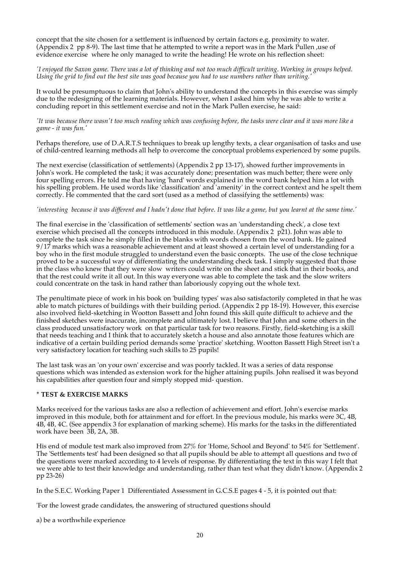concept that the site chosen for a settlement is influenced by certain factors e.g. proximity to water. (Appendix 2 pp 8-9). The last time that he attempted to write a report was in the Mark Pullen ,use of evidence exercise where he only managed to write the heading! He wrote on his reflection sheet:

'I enjoyed the Saxon game. There was a lot of thinking and not too much difficult writing. Working in groups helped. Using the grid to find out the best site was good because you had to use numbers rather than writing.

It would be presumptuous to claim that John's ability to understand the concepts in this exercise was simply due to the redesigning of the learning materials. However, when I asked him why he was able to write a concluding report in this settlement exercise and not in the Mark Pullen exercise, he said:

'It was because there wasn't too much reading which was confusing before, the tasks were clear and it was more like a *game - it was fun.'*

Perhaps therefore, use of D.A.R.T.S techniques to break up lengthy texts, a clear organisation of tasks and use of child-centred learning methods all help to overcome the conceptual problems experienced by some pupils.

The next exercise (classification of settlements) (Appendix 2 pp 13-17), showed further improvements in John's work. He completed the task; it was accurately done; presentation was much better; there were only four spelling errors. He told me that having 'hard' words explained in the word bank helped him a lot with his spelling problem. He used words like 'classification' and 'amenity' in the correct context and he spelt them correctly. He commented that the card sort (used as a method of classifying the settlements) was:

#### 'interesting because it was different and I hadn't done that before. It was like a game, but you learnt at the same time.'

The final exercise in the 'classification of settlements' section was an 'understanding check', a close text exercise which precised all the concepts introduced in this module. (Appendix  $2 \frac{p}{21}$ ). John was able to complete the task since he simply filled in the blanks with words chosen from the word bank. He gained 9/17 marks which was a reasonable achievement and at least showed a certain level of understanding for a boy who in the first module struggled to understand even the basic concepts. The use of the close technique proved to be a successful way of differentiating the understanding check task. I simply suggested that those in the class who knew that they were slow writers could write on the sheet and stick that in their books, and that the rest could write it all out. In this way everyone was able to complete the task and the slow writers could concentrate on the task in hand rather than laboriously copying out the whole text.

The penultimate piece of work in his book on 'building types' was also satisfactorily completed in that he was able to match pictures of buildings with their building period. (Appendix 2 pp 18-19). However, this exercise also involved field-sketching in Wootton Bassett and John found this skill quite difficult to achieve and the finished sketches were inaccurate, incomplete and ultimately lost. I believe that John and some others in the class produced unsatisfactory work on that particular task for two reasons. Firstly, field-sketching is a skill that needs teaching and I think that to accurately sketch a house and also annotate those features which are indicative of a certain building period demands some 'practice' sketching. Wootton Bassett High Street isn't a very satisfactory location for teaching such skills to 25 pupils!

The last task was an 'on your own' excercise and was poorly tackled. It was a series of data response questions which was intended as extension work for the higher attaining pupils. John realised it was beyond his capabilities after question four and simply stopped mid-question.

#### **\* TEST & EXERCISE MARKS**

Marks received for the various tasks are also a reflection of achievement and effort. John's exercise marks improved in this module, both for attainment and for effort. In the previous module, his marks were 3C, 4B, 4B, 4B, 4C. (See appendix 3 for explanation of marking scheme). His marks for the tasks in the differentiated work have been 3B, 2A, 3B.

His end of module test mark also improved from 27% for 'Home, School and Beyond' to 54% for 'Settlement'. The 'Settlements test' had been designed so that all pupils should be able to attempt all questions and two of the questions were marked according to 4 levels of response. By differentiating the text in this way I felt that we were able to test their knowledge and understanding, rather than test what they didn't know. (Appendix 2 pp 23-26)

In the S.E.C. Working Paper 1 Differentiated Assessment in G.C.S.E pages 4 - 5, it is pointed out that:

'For the lowest grade candidates, the answering of structured questions should

a) be a worthwhile experience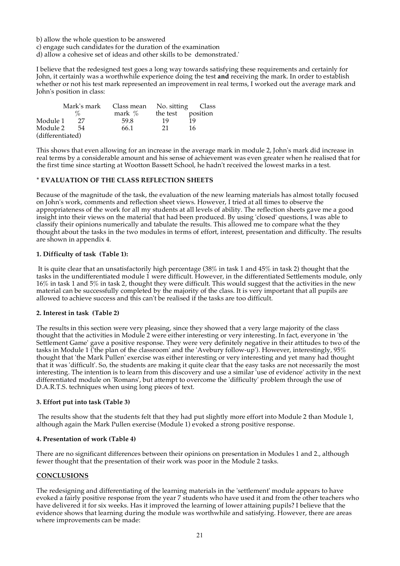b) allow the whole question to be answered

c) engage such candidates for the duration of the examination

d) allow a cohesive set of ideas and other skills to be demonstrated.'

I believe that the redesigned test goes a long way towards satisfying these requirements and certainly for John, it certainly was a worthwhile experience doing the test **and** receiving the mark. In order to establish whether or not his test mark represented an improvement in real terms, I worked out the average mark and John's position in class:

|                  | Mark's mark | Class mean | No. sitting Class |    |  |
|------------------|-------------|------------|-------------------|----|--|
|                  | $\%$        | mark $\%$  | the test position |    |  |
| Module 1         | 27          | 59.8       | 19                | 19 |  |
| Module 2         | -54         | 66.1       | 21                | 16 |  |
| (differentiated) |             |            |                   |    |  |

This shows that even allowing for an increase in the average mark in module 2, John's mark did increase in real terms by a considerable amount and his sense of achievement was even greater when he realised that for the first time since starting at Wootton Bassett School, he hadn't received the lowest marks in a test.

## **\* EVALUATION OF THE CLASS REFLECTION SHEETS**

Because of the magnitude of the task, the evaluation of the new learning materials has almost totally focused on John's work, comments and reflection sheet views. However, I tried at all times to observe the appropriateness of the work for all my students at all levels of ability. The reflection sheets gave me a good insight into their views on the material that had been produced. By using 'closed' questions, I was able to classify their opinions numerically and tabulate the results. This allowed me to compare what the they thought about the tasks in the two modules in terms of effort, interest, presentation and difficulty. The results are shown in appendix 4.

## **1. Difficulty of task (Table 1):**

It is quite clear that an unsatisfactorily high percentage (38% in task 1 and 45% in task 2) thought that the tasks in the undifferentiated module 1 were difficult. However, in the differentiated Settlements module, only 16% in task 1 and 5% in task 2, thought they were difficult. This would suggest that the activities in the new material can be successfully completed by the majority of the class. It is very important that all pupils are allowed to achieve success and this can't be realised if the tasks are too difficult.

#### **2. Interest in task (Table 2)**

The results in this section were very pleasing, since they showed that a very large majority of the class thought that the activities in Module 2 were either interesting or very interesting. In fact, everyone in 'the Settlement Game' gave a positive response. They were very definitely negative in their attitudes to two of the tasks in Module 1 ('the plan of the classroom' and the 'Avebury follow-up'). However, interestingly, 95% thought that 'the Mark Pullen' exercise was either interesting or very interesting and yet many had thought that it was 'difficult'. So, the students are making it quite clear that the easy tasks are not necessarily the most interesting. The intention is to learn from this discovery and use a similar 'use of evidence' activity in the next differentiated module on 'Romans', but attempt to overcome the 'difficulty' problem through the use of D.A.R.T.S. techniques when using long pieces of text.

#### **3. Effort put into task (Table 3)**

The results show that the students felt that they had put slightly more effort into Module 2 than Module 1, although again the Mark Pullen exercise (Module 1) evoked a strong positive response.

#### **4. Presentation of work (Table 4)**

There are no significant differences between their opinions on presentation in Modules 1 and 2., although fewer thought that the presentation of their work was poor in the Module 2 tasks.

#### **CONCLUSIONS**

The redesigning and differentiating of the learning materials in the 'settlement' module appears to have evoked a fairly positive response from the year 7 students who have used it and from the other teachers who have delivered it for six weeks. Has it improved the learning of lower attaining pupils? I believe that the evidence shows that learning during the module was worthwhile and satisfying. However, there are areas where improvements can be made: